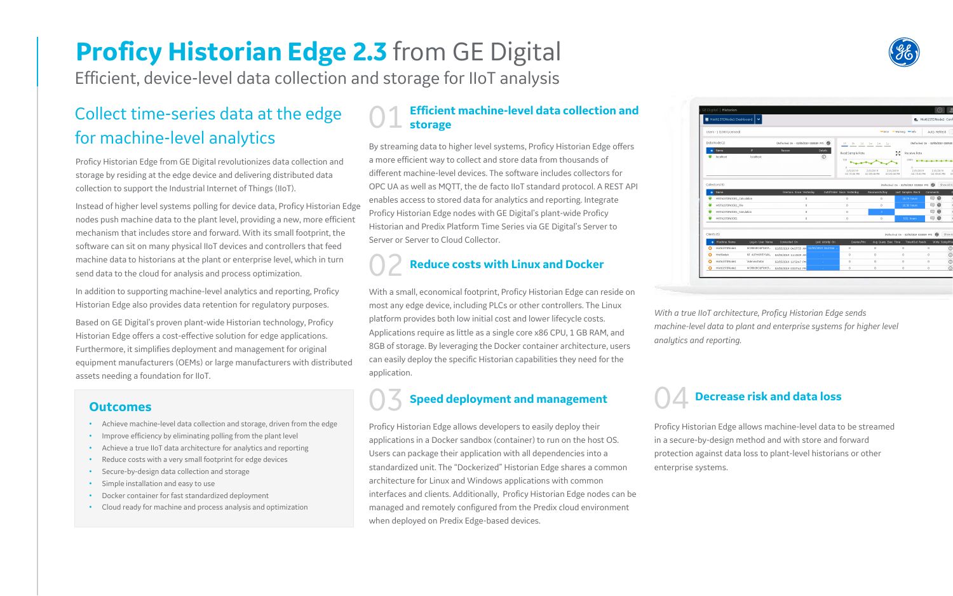# **Proficy Historian Edge 2.3** from GE Digital

Efficient, device-level data collection and storage for IIoT analysis

### Collect time-series data at the edge for machine-level analytics

Proficy Historian Edge from GE Digital revolutionizes data collection and storage by residing at the edge device and delivering distributed data collection to support the Industrial Internet of Things (IIoT).

Instead of higher level systems polling for device data, Proficy Historian Edge nodes push machine data to the plant level, providing a new, more efficient mechanism that includes store and forward. With its small footprint, the software can sit on many physical IIoT devices and controllers that feed machine data to historians at the plant or enterprise level, which in turn send data to the cloud for analysis and process optimization.

### **Efficient machine-level data collection and storage**

In addition to supporting machine-level analytics and reporting, Proficy Historian Edge also provides data retention for regulatory purposes.

Based on GE Digital's proven plant-wide Historian technology, Proficy Historian Edge offers a cost-effective solution for edge applications. Furthermore, it simplifies deployment and management for original equipment manufacturers (OEMs) or large manufacturers with distributed assets needing a foundation for IIoT.

By streaming data to higher level systems, Proficy Historian Edge offers a more efficient way to collect and store data from thousands of different machine-level devices. The software includes collectors for OPC UA as well as MQTT, the de facto IIoT standard protocol. A REST API enables access to stored data for analytics and reporting. Integrate Proficy Historian Edge nodes with GE Digital's plant-wide Proficy Historian and Predix Platform Time Series via GE Digital's Server to Server or Server to Cloud Collector.

## 02 **Reduce costs with Linux and Docker**

With a small, economical footprint, Proficy Historian Edge can reside on most any edge device, including PLCs or other controllers. The Linux platform provides both low initial cost and lower lifecycle costs. Applications require as little as a single core x86 CPU, 1 GB RAM, and 8GB of storage. By leveraging the Docker container architecture, users can easily deploy the specific Historian capabilities they need for the application.

## 03 **Speed deployment and management**

Proficy Historian Edge allows developers to easily deploy their applications in a Docker sandbox (container) to run on the host OS. Users can package their application with all dependencies into a standardized unit. The "Dockerized" Historian Edge shares a common architecture for Linux and Windows applications with common interfaces and clients. Additionally, Proficy Historian Edge nodes can be managed and remotely configured from the Predix cloud environment when deployed on Predix Edge-based devices.



| ■ Hist61STDNode1 Dashboard   ♥       |                  |                                              | 最 Hist61STDNode1 Conf |                                     |                         |                                         |                                              |
|--------------------------------------|------------------|----------------------------------------------|-----------------------|-------------------------------------|-------------------------|-----------------------------------------|----------------------------------------------|
| Users - 1 (1000 Licensed)            |                  | $=$ Error $-$ Warning $-$ Info               |                       |                                     |                         |                                         |                                              |
| Data Node (1)                        |                  | (Refreshed On - 02/05/2019 03:08:59 PM)      |                       |                                     | 1h 8h 1d 1w 1m 1y       |                                         | (Refreshed On - 02/05/2019 03:09:00          |
| Name<br>œ.<br>localhost              | IP.<br>localhost | Reason                                       | Details<br>$\odot$    | Read Sample Rate<br>100             |                         | 失月<br>at to<br>2000                     | Receive Rate<br>$-1 - 1 - 1 - 1 - 1 - 1 - 1$ |
|                                      |                  |                                              |                       | $\Omega$<br>2/5/2019<br>02:15:00 PM | 2/5/2019<br>02:39:00 PM | 0<br>2/5/2019<br>03:03:00 PM            | 2/5/2019<br>02:15:00 PM                      |
| Collectors (5)                       |                  |                                              |                       |                                     |                         | (Refreshed On - 02/05/2019 03:08:59 PM) |                                              |
| Name<br>$\uparrow$                   |                  | Overruns Since Yesterday                     |                       | OutOfOrder Since Vesterday          | Reconnects/Day          | Last Samples Rec'd                      |                                              |
| HIST61STDNODE1_Calculation           |                  | $\Omega$                                     |                       | $\Omega$                            | $\Omega$                | 10.79 hours                             |                                              |
| ◉<br>HIST61STDNODE1_File             |                  | $\ddot{\mathbf{0}}$                          |                       | 0                                   | $^{\circ}$              | 10.38 hours                             |                                              |
| ۰<br>HIST61STDNODE1_Simulation       |                  | $\circ$                                      |                       | $\circ$                             | $3 -$                   |                                         |                                              |
| ⊕<br>HIST61STDNODE1                  |                  | $\Omega$                                     |                       | $\circ$                             | $\circ$                 | 5.51 hours                              |                                              |
| Clients (5)                          |                  |                                              |                       |                                     |                         | (Refreshed On - 02/05/2019 03:08:59 PM) |                                              |
| Machine Name<br>$\ddot{\phantom{1}}$ | Log-in User Name | Connected On                                 | Last Activity On      | Queries/Min                         |                         | Avg Query Exec Time                     | TimedOut Reads                               |
| Hist61STDNode1<br>Φ                  | WORKGROUP\HIST   | 02/05/2019 04:07:55 AM 02/05/2019 04:23:46 . |                       | $\mathbf{0}$                        | $\mathbf{0}$            | $\circ$                                 |                                              |
| HistNode4<br>Φ                       |                  | NT AUTHORITYAN. 02/05/2019 11:13:09 AM       | <b>SALE</b>           | $^{\circ}$                          | 0                       | $^{\circ}$                              |                                              |
| Hist61STDNode1<br>⋒                  | \Administrator   | 02/05/2019 12:52:47 PM                       | a s                   | $^{\circ}$                          | 0                       | $\circ$                                 |                                              |
| Φ<br>Hist61STDNode1                  | WORKGROUP\HIST   | 02/05/2019 03:07:42 PM                       | 14                    | $\mathbf{0}$                        | $\hfill$                | $\circ$                                 |                                              |

### 04 **Decrease risk and data loss**

Proficy Historian Edge allows machine-level data to be streamed in a secure-by-design method and with store and forward protection against data loss to plant-level historians or other enterprise systems.

### **Outcomes**

- Achieve machine-level data collection and storage, driven from the edge
- Improve efficiency by eliminating polling from the plant level
- Achieve a true IIoT data architecture for analytics and reporting
- Reduce costs with a very small footprint for edge devices
- Secure-by-design data collection and storage
- Simple installation and easy to use
- Docker container for fast standardized deployment
- Cloud ready for machine and process analysis and optimization

*With a true IIoT architecture, Proficy Historian Edge sends machine-level data to plant and enterprise systems for higher level analytics and reporting.*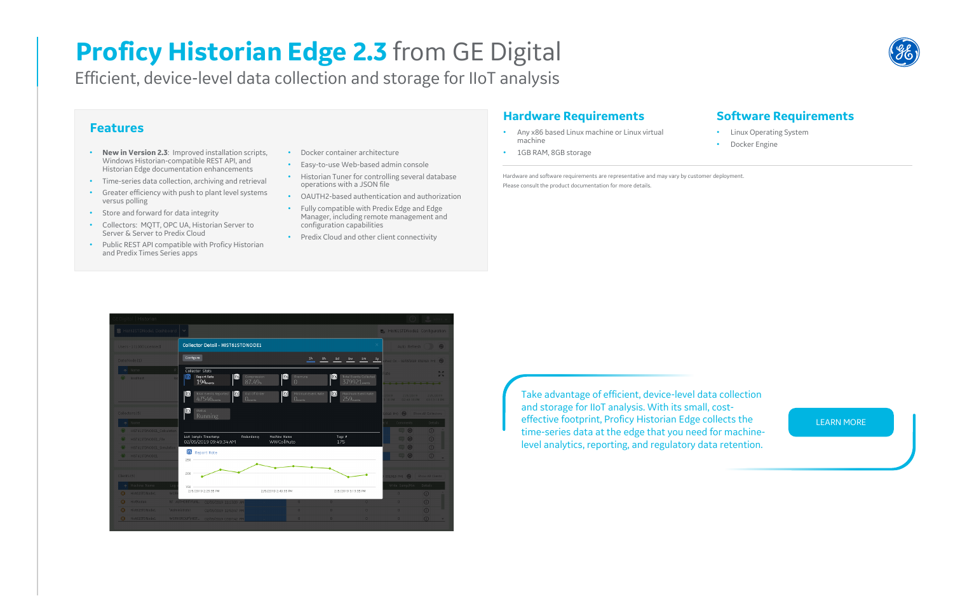## **Proficy Historian Edge 2.3** from GE Digital

Efficient, device-level data collection and storage for IIoT analysis

### **Features**

- **New in Version 2.3**: Improved installation scripts, Windows Historian-compatible REST API, and Historian Edge documentation enhancements
- Time-series data collection, archiving and retrieval
- Greater efficiency with push to plant level systems versus polling
- Store and forward for data integrity
- Collectors: MQTT, OPC UA, Historian Server to Server & Server to Predix Cloud
- Public REST API compatible with Proficy Historian and Predix Times Series apps
- Any x86 based Linux machine or Linux virtual machine
- 1GB RAM, 8GB storage
- Docker container architecture
- Easy-to-use Web-based admin console
- Historian Tuner for controlling several database operations with a JSON file
- OAUTH2-based authentication and authorization
- Fully compatible with Predix Edge and Edge Manager, including remote management and configuration capabilities
- Predix Cloud and other client connectivity

### **Hardware Requirements**

### **Software Requirements**

- Linux Operating System
- Docker Engine

Hardware and software requirements are representative and may vary by customer deployment. Please consult the product documentation for more details.



Take advantage of efficient, device-level data collection and storage for IIoT analysis. With its small, costeffective footprint, Proficy Historian Edge collects the time-series data at the edge that you need for machinelevel analytics, reporting, and regulatory data retention.



### [LEARN MORE](https://www.ge.com/digital/applications/historian)